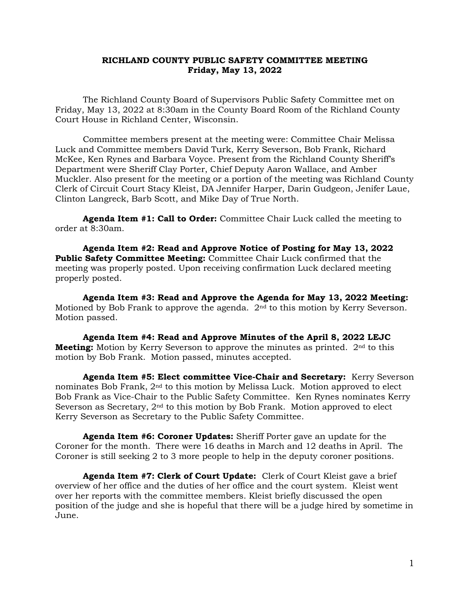## **RICHLAND COUNTY PUBLIC SAFETY COMMITTEE MEETING Friday, May 13, 2022**

The Richland County Board of Supervisors Public Safety Committee met on Friday, May 13, 2022 at 8:30am in the County Board Room of the Richland County Court House in Richland Center, Wisconsin.

Committee members present at the meeting were: Committee Chair Melissa Luck and Committee members David Turk, Kerry Severson, Bob Frank, Richard McKee, Ken Rynes and Barbara Voyce. Present from the Richland County Sheriff's Department were Sheriff Clay Porter, Chief Deputy Aaron Wallace, and Amber Muckler. Also present for the meeting or a portion of the meeting was Richland County Clerk of Circuit Court Stacy Kleist, DA Jennifer Harper, Darin Gudgeon, Jenifer Laue, Clinton Langreck, Barb Scott, and Mike Day of True North.

**Agenda Item #1: Call to Order:** Committee Chair Luck called the meeting to order at 8:30am.

**Agenda Item #2: Read and Approve Notice of Posting for May 13, 2022 Public Safety Committee Meeting:** Committee Chair Luck confirmed that the meeting was properly posted. Upon receiving confirmation Luck declared meeting properly posted.

**Agenda Item #3: Read and Approve the Agenda for May 13, 2022 Meeting:** Motioned by Bob Frank to approve the agenda. 2nd to this motion by Kerry Severson. Motion passed.

**Agenda Item #4: Read and Approve Minutes of the April 8, 2022 LEJC Meeting:** Motion by Kerry Severson to approve the minutes as printed. 2<sup>nd</sup> to this motion by Bob Frank. Motion passed, minutes accepted.

**Agenda Item #5: Elect committee Vice-Chair and Secretary:** Kerry Severson nominates Bob Frank,  $2<sup>nd</sup>$  to this motion by Melissa Luck. Motion approved to elect Bob Frank as Vice-Chair to the Public Safety Committee. Ken Rynes nominates Kerry Severson as Secretary, 2nd to this motion by Bob Frank. Motion approved to elect Kerry Severson as Secretary to the Public Safety Committee.

**Agenda Item #6: Coroner Updates:** Sheriff Porter gave an update for the Coroner for the month. There were 16 deaths in March and 12 deaths in April. The Coroner is still seeking 2 to 3 more people to help in the deputy coroner positions.

**Agenda Item #7: Clerk of Court Update:** Clerk of Court Kleist gave a brief overview of her office and the duties of her office and the court system. Kleist went over her reports with the committee members. Kleist briefly discussed the open position of the judge and she is hopeful that there will be a judge hired by sometime in June.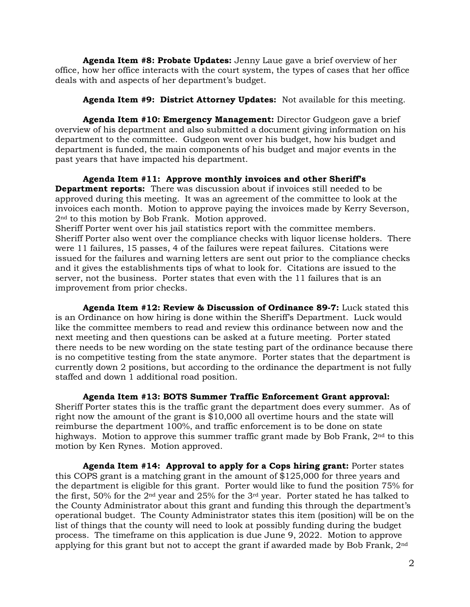**Agenda Item #8: Probate Updates:** Jenny Laue gave a brief overview of her office, how her office interacts with the court system, the types of cases that her office deals with and aspects of her department's budget.

## **Agenda Item #9: District Attorney Updates:** Not available for this meeting.

**Agenda Item #10: Emergency Management:** Director Gudgeon gave a brief overview of his department and also submitted a document giving information on his department to the committee. Gudgeon went over his budget, how his budget and department is funded, the main components of his budget and major events in the past years that have impacted his department.

**Agenda Item #11: Approve monthly invoices and other Sheriff's Department reports:** There was discussion about if invoices still needed to be approved during this meeting. It was an agreement of the committee to look at the invoices each month. Motion to approve paying the invoices made by Kerry Severson, 2<sup>nd</sup> to this motion by Bob Frank. Motion approved.

Sheriff Porter went over his jail statistics report with the committee members. Sheriff Porter also went over the compliance checks with liquor license holders. There were 11 failures, 15 passes, 4 of the failures were repeat failures. Citations were issued for the failures and warning letters are sent out prior to the compliance checks and it gives the establishments tips of what to look for. Citations are issued to the server, not the business. Porter states that even with the 11 failures that is an improvement from prior checks.

**Agenda Item #12: Review & Discussion of Ordinance 89-7:** Luck stated this is an Ordinance on how hiring is done within the Sheriff's Department. Luck would like the committee members to read and review this ordinance between now and the next meeting and then questions can be asked at a future meeting. Porter stated there needs to be new wording on the state testing part of the ordinance because there is no competitive testing from the state anymore. Porter states that the department is currently down 2 positions, but according to the ordinance the department is not fully staffed and down 1 additional road position.

## **Agenda Item #13: BOTS Summer Traffic Enforcement Grant approval:**

Sheriff Porter states this is the traffic grant the department does every summer. As of right now the amount of the grant is \$10,000 all overtime hours and the state will reimburse the department 100%, and traffic enforcement is to be done on state highways. Motion to approve this summer traffic grant made by Bob Frank, 2<sup>nd</sup> to this motion by Ken Rynes. Motion approved.

**Agenda Item #14: Approval to apply for a Cops hiring grant:** Porter states this COPS grant is a matching grant in the amount of \$125,000 for three years and the department is eligible for this grant. Porter would like to fund the position 75% for the first, 50% for the 2nd year and 25% for the 3rd year. Porter stated he has talked to the County Administrator about this grant and funding this through the department's operational budget. The County Administrator states this item (position) will be on the list of things that the county will need to look at possibly funding during the budget process. The timeframe on this application is due June 9, 2022. Motion to approve applying for this grant but not to accept the grant if awarded made by Bob Frank, 2nd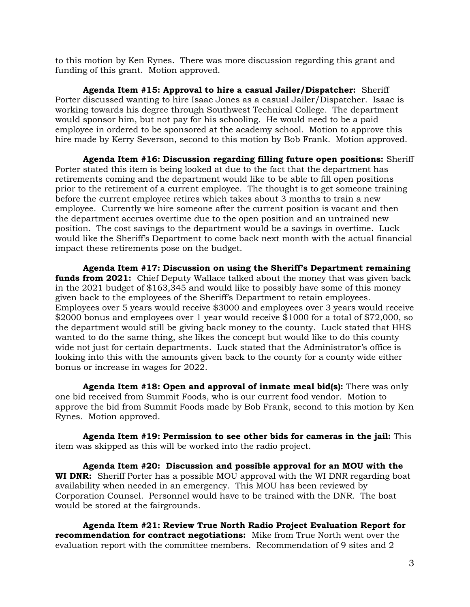to this motion by Ken Rynes. There was more discussion regarding this grant and funding of this grant. Motion approved.

**Agenda Item #15: Approval to hire a casual Jailer/Dispatcher:** Sheriff Porter discussed wanting to hire Isaac Jones as a casual Jailer/Dispatcher. Isaac is working towards his degree through Southwest Technical College. The department would sponsor him, but not pay for his schooling. He would need to be a paid employee in ordered to be sponsored at the academy school. Motion to approve this hire made by Kerry Severson, second to this motion by Bob Frank. Motion approved.

**Agenda Item #16: Discussion regarding filling future open positions:** Sheriff Porter stated this item is being looked at due to the fact that the department has retirements coming and the department would like to be able to fill open positions prior to the retirement of a current employee. The thought is to get someone training before the current employee retires which takes about 3 months to train a new employee. Currently we hire someone after the current position is vacant and then the department accrues overtime due to the open position and an untrained new position. The cost savings to the department would be a savings in overtime. Luck would like the Sheriff's Department to come back next month with the actual financial impact these retirements pose on the budget.

**Agenda Item #17: Discussion on using the Sheriff's Department remaining funds from 2021:** Chief Deputy Wallace talked about the money that was given back in the 2021 budget of \$163,345 and would like to possibly have some of this money given back to the employees of the Sheriff's Department to retain employees. Employees over 5 years would receive \$3000 and employees over 3 years would receive \$2000 bonus and employees over 1 year would receive \$1000 for a total of \$72,000, so the department would still be giving back money to the county. Luck stated that HHS wanted to do the same thing, she likes the concept but would like to do this county wide not just for certain departments. Luck stated that the Administrator's office is looking into this with the amounts given back to the county for a county wide either bonus or increase in wages for 2022.

**Agenda Item #18: Open and approval of inmate meal bid(s):** There was only one bid received from Summit Foods, who is our current food vendor. Motion to approve the bid from Summit Foods made by Bob Frank, second to this motion by Ken Rynes. Motion approved.

**Agenda Item #19: Permission to see other bids for cameras in the jail:** This item was skipped as this will be worked into the radio project.

**Agenda Item #20: Discussion and possible approval for an MOU with the WI DNR:** Sheriff Porter has a possible MOU approval with the WI DNR regarding boat availability when needed in an emergency. This MOU has been reviewed by Corporation Counsel. Personnel would have to be trained with the DNR. The boat would be stored at the fairgrounds.

**Agenda Item #21: Review True North Radio Project Evaluation Report for recommendation for contract negotiations:** Mike from True North went over the evaluation report with the committee members. Recommendation of 9 sites and 2